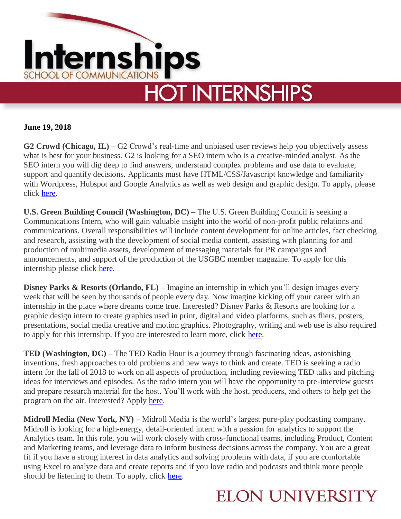

**June 19, 2018**

**G2 Crowd (Chicago, IL) –** G2 Crowd's real-time and unbiased user reviews help you objectively assess what is best for your business. G2 is looking for a SEO intern who is a creative-minded analyst. As the SEO intern you will dig deep to find answers, understand complex problems and use data to evaluate, support and quantify decisions. Applicants must have HTML/CSS/Javascript knowledge and familiarity with Wordpress, Hubspot and Google Analytics as well as web design and graphic design. To apply, please click [here.](https://blog.g2crowd.com/careers/?gh_jid=1089259)

**U.S. Green Building Council (Washington, DC) –** The U.S. Green Building Council is seeking a Communications Intern, who will gain valuable insight into the world of non-profit public relations and communications. Overall responsibilities will include content development for online articles, fact checking and research, assisting with the development of social media content, assisting with planning for and production of multimedia assets, development of messaging materials for PR campaigns and announcements, and support of the production of the USGBC member magazine. To apply for this internship please click [here.](https://careercenter.usgbc.org/job/communications-intern/40984481/)

**Disney Parks & Resorts (Orlando, FL) –** Imagine an internship in which you'll design images every week that will be seen by thousands of people every day. Now imagine kicking off your career with an internship in the place where dreams come true. Interested? Disney Parks & Resorts are looking for a graphic design intern to create graphics used in print, digital and video platforms, such as fliers, posters, presentations, social media creative and motion graphics. Photography, writing and web use is also required to apply for this internship. If you are interested to learn more, click [here.](https://jobs.disneycareers.com/job/-/-/391/8402984?codes=INDEED)

**TED (Washington, DC) –** The TED Radio Hour is a journey through fascinating ideas, astonishing inventions, fresh approaches to old problems and new ways to think and create. TED is seeking a radio intern for the fall of 2018 to work on all aspects of production, including reviewing TED talks and pitching ideas for interviews and episodes. As the radio intern you will have the opportunity to pre-interview guests and prepare research material for the host. You'll work with the host, producers, and others to help get the program on the air. Interested? Apply [here.](https://recruiting.ultipro.com/NAT1011NATPR/JobBoard/af823b19-a43b-4cda-b6c2-c06508d84cf6/OpportunityDetail?opportunityId=2a23a98d-0680-4772-9b3b-f94e103a1ff9&mode=job&iis=Job+Board+-+Indeed.com&iisn=Indeed.com)

**Midroll Media (New York, NY) –** Midroll Media is the world's largest pure-play podcasting company. Midroll is looking for a high-energy, detail-oriented intern with a passion for analytics to support the Analytics team. In this role, you will work closely with cross-functional teams, including Product, Content and Marketing teams, and leverage data to inform business decisions across the company. You are a great fit if you have a strong interest in data analytics and solving problems with data, if you are comfortable using Excel to analyze data and create reports and if you love radio and podcasts and think more people should be listening to them. To apply, click [here.](https://recruiting.adp.com/srccar/public/RTI.home?c=1060841&d=External&rb=INDEED&r=5000379053606#/)

## **ELON UNIVERSITY**